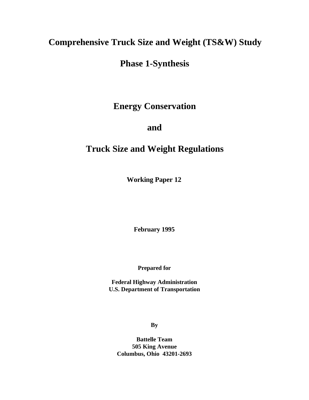# **Comprehensive Truck Size and Weight (TS&W) Study**

# **Phase 1-Synthesis**

**Energy Conservation**

**and**

# **Truck Size and Weight Regulations**

**Working Paper 12**

**February 1995**

**Prepared for**

**Federal Highway Administration U.S. Department of Transportation**

**By**

**Battelle Team 505 King Avenue Columbus, Ohio 43201-2693**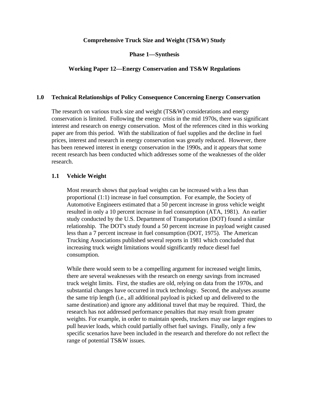#### **Comprehensive Truck Size and Weight (TS&W) Study**

**Phase 1—Synthesis**

## **Working Paper 12—Energy Conservation and TS&W Regulations**

#### **1.0 Technical Relationships of Policy Consequence Concerning Energy Conservation**

The research on various truck size and weight (TS&W) considerations and energy conservation is limited. Following the energy crisis in the mid 1970s, there was significant interest and research on energy conservation. Most of the references cited in this working paper are from this period. With the stabilization of fuel supplies and the decline in fuel prices, interest and research in energy conservation was greatly reduced. However, there has been renewed interest in energy conservation in the 1990s, and it appears that some recent research has been conducted which addresses some of the weaknesses of the older research.

#### **1.1 Vehicle Weight**

Most research shows that payload weights can be increased with a less than proportional (1:1) increase in fuel consumption. For example, the Society of Automotive Engineers estimated that a 50 percent increase in gross vehicle weight resulted in only a 10 percent increase in fuel consumption (ATA, 1981). An earlier study conducted by the U.S. Department of Transportation (DOT) found a similar relationship. The DOT's study found a 50 percent increase in payload weight caused less than a 7 percent increase in fuel consumption (DOT, 1975). The American Trucking Associations published several reports in 1981 which concluded that increasing truck weight limitations would significantly reduce diesel fuel consumption.

While there would seem to be a compelling argument for increased weight limits, there are several weaknesses with the research on energy savings from increased truck weight limits. First, the studies are old, relying on data from the 1970s, and substantial changes have occurred in truck technology. Second, the analyses assume the same trip length (i.e., all additional payload is picked up and delivered to the same destination) and ignore any additional travel that may be required. Third, the research has not addressed performance penalties that may result from greater weights. For example, in order to maintain speeds, truckers may use larger engines to pull heavier loads, which could partially offset fuel savings. Finally, only a few specific scenarios have been included in the research and therefore do not reflect the range of potential TS&W issues.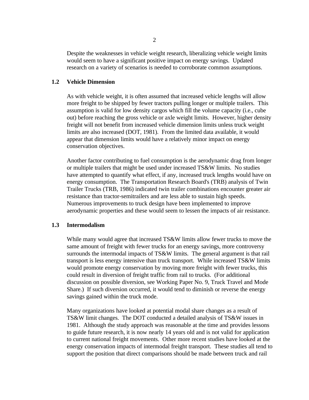Despite the weaknesses in vehicle weight research, liberalizing vehicle weight limits would seem to have a significant positive impact on energy savings. Updated research on a variety of scenarios is needed to corroborate common assumptions.

## **1.2 Vehicle Dimension**

As with vehicle weight, it is often assumed that increased vehicle lengths will allow more freight to be shipped by fewer tractors pulling longer or multiple trailers. This assumption is valid for low density cargos which fill the volume capacity (i.e., cube out) before reaching the gross vehicle or axle weight limits. However, higher density freight will not benefit from increased vehicle dimension limits unless truck weight limits are also increased (DOT, 1981). From the limited data available, it would appear that dimension limits would have a relatively minor impact on energy conservation objectives.

Another factor contributing to fuel consumption is the aerodynamic drag from longer or multiple trailers that might be used under increased TS&W limits. No studies have attempted to quantify what effect, if any, increased truck lengths would have on energy consumption. The Transportation Research Board's (TRB) analysis of Twin Trailer Trucks (TRB, 1986) indicated twin trailer combinations encounter greater air resistance than tractor-semitrailers and are less able to sustain high speeds. Numerous improvements to truck design have been implemented to improve aerodynamic properties and these would seem to lessen the impacts of air resistance.

## **1.3 Intermodalism**

While many would agree that increased TS&W limits allow fewer trucks to move the same amount of freight with fewer trucks for an energy savings, more controversy surrounds the intermodal impacts of TS&W limits. The general argument is that rail transport is less energy intensive than truck transport. While increased TS&W limits would promote energy conservation by moving more freight with fewer trucks, this could result in diversion of freight traffic from rail to trucks. (For additional discussion on possible diversion, see Working Paper No. 9, Truck Travel and Mode Share.) If such diversion occurred, it would tend to diminish or reverse the energy savings gained within the truck mode.

Many organizations have looked at potential modal share changes as a result of TS&W limit changes. The DOT conducted a detailed analysis of TS&W issues in 1981. Although the study approach was reasonable at the time and provides lessons to guide future research, it is now nearly 14 years old and is not valid for application to current national freight movements. Other more recent studies have looked at the energy conservation impacts of intermodal freight transport. These studies all tend to support the position that direct comparisons should be made between truck and rail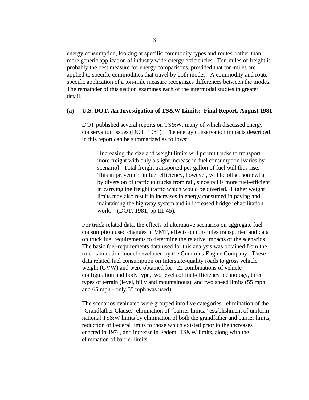energy consumption, looking at specific commodity types and routes, rather than more generic application of industry wide energy efficiencies. Ton-miles of freight is probably the best measure for energy comparisons, provided that ton-miles are applied to specific commodities that travel by both modes. A commodity and routespecific application of a ton-mile measure recognizes differences between the modes. The remainder of this section examines each of the intermodal studies in greater detail.

#### **(a) U.S. DOT, An Investigation of TS&W Limits: Final Report, August 1981**

DOT published several reports on TS&W, many of which discussed energy conservation issues (DOT, 1981). The energy conservation impacts described in this report can be summarized as follows:

"Increasing the size and weight limits will permit trucks to transport more freight with only a slight increase in fuel consumption [varies by scenario]. Total freight transported per gallon of fuel will thus rise. This improvement in fuel efficiency, however, will be offset somewhat by diversion of traffic to trucks from rail, since rail is more fuel-efficient in carrying the freight traffic which would be diverted. Higher weight limits may also result in increases in energy consumed in paving and maintaining the highway system and in increased bridge rehabilitation work." (DOT, 1981, pp III-45).

For truck related data, the effects of alternative scenarios on aggregate fuel consumption used changes in VMT, effects on ton-miles transported and data on truck fuel requirements to determine the relative impacts of the scenarios. The basic fuel-requirements data used for this analysis was obtained from the truck simulation model developed by the Cummins Engine Company. These data related fuel consumption on Interstate-quality roads to gross vehicle weight (GVW) and were obtained for: 22 combinations of vehicle configuration and body type, two levels of fuel-efficiency technology, three types of terrain (level, hilly and mountainous), and two speed limits (55 mph and 65 mph - only 55 mph was used).

The scenarios evaluated were grouped into five categories: elimination of the "Grandfather Clause," elimination of "barrier limits," establishment of uniform national TS&W limits by elimination of both the grandfather and barrier limits, reduction of Federal limits to those which existed prior to the increases enacted in 1974, and increase in Federal TS&W limits, along with the elimination of barrier limits.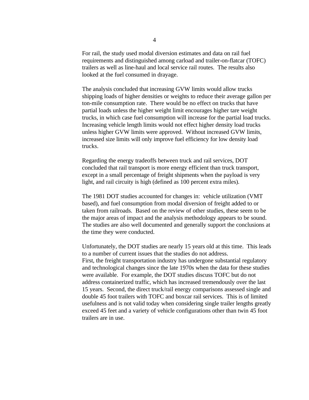For rail, the study used modal diversion estimates and data on rail fuel requirements and distinguished among carload and trailer-on-flatcar (TOFC) trailers as well as line-haul and local service rail routes. The results also looked at the fuel consumed in drayage.

The analysis concluded that increasing GVW limits would allow trucks shipping loads of higher densities or weights to reduce their average gallon per ton-mile consumption rate. There would be no effect on trucks that have partial loads unless the higher weight limit encourages higher tare weight trucks, in which case fuel consumption will increase for the partial load trucks. Increasing vehicle length limits would not effect higher density load trucks unless higher GVW limits were approved. Without increased GVW limits, increased size limits will only improve fuel efficiency for low density load trucks.

Regarding the energy tradeoffs between truck and rail services, DOT concluded that rail transport is more energy efficient than truck transport, except in a small percentage of freight shipments when the payload is very light, and rail circuity is high (defined as 100 percent extra miles).

The 1981 DOT studies accounted for changes in: vehicle utilization (VMT based), and fuel consumption from modal diversion of freight added to or taken from railroads. Based on the review of other studies, these seem to be the major areas of impact and the analysis methodology appears to be sound. The studies are also well documented and generally support the conclusions at the time they were conducted.

Unfortunately, the DOT studies are nearly 15 years old at this time. This leads to a number of current issues that the studies do not address. First, the freight transportation industry has undergone substantial regulatory and technological changes since the late 1970s when the data for these studies were available. For example, the DOT studies discuss TOFC but do not address containerized traffic, which has increased tremendously over the last 15 years. Second, the direct truck/rail energy comparisons assessed single and double 45 foot trailers with TOFC and boxcar rail services. This is of limited usefulness and is not valid today when considering single trailer lengths greatly exceed 45 feet and a variety of vehicle configurations other than twin 45 foot trailers are in use.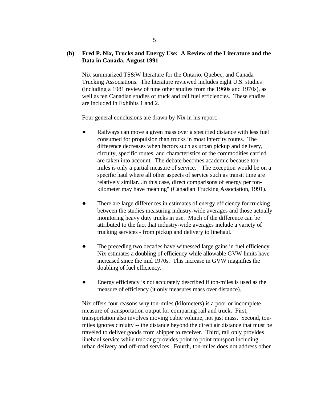# **(b) Fred P. Nix, Trucks and Energy Use: A Review of the Literature and the Data in Canada, August 1991**

Nix summarized TS&W literature for the Ontario, Quebec, and Canada Trucking Associations. The literature reviewed includes eight U.S. studies (including a 1981 review of nine other studies from the 1960s and 1970s), as well as ten Canadian studies of truck and rail fuel efficiencies. These studies are included in Exhibits 1 and 2.

Four general conclusions are drawn by Nix in his report:

- $\bullet$ Railways can move a given mass over a specified distance with less fuel consumed for propulsion than trucks in most intercity routes. The difference decreases when factors such as urban pickup and delivery, circuity, specific routes, and characteristics of the commodities carried are taken into account. The debate becomes academic because tonmiles is only a partial measure of service. "The exception would be on a specific haul where all other aspects of service such as transit time are relatively similar...In this case, direct comparisons of energy per tonkilometer may have meaning" (Canadian Trucking Association, 1991).
- There are large differences in estimates of energy efficiency for trucking between the studies measuring industry-wide averages and those actually monitoring heavy duty trucks in use. Much of the difference can be attributed to the fact that industry-wide averages include a variety of trucking services - from pickup and delivery to linehaul.
- The preceding two decades have witnessed large gains in fuel efficiency. Nix estimates a doubling of efficiency while allowable GVW limits have increased since the mid 1970s. This increase in GVW magnifies the doubling of fuel efficiency.
- Energy efficiency is not accurately described if ton-miles is used as the  $\bullet$ measure of efficiency (it only measures mass over distance).

Nix offers four reasons why ton-miles (kilometers) is a poor or incomplete measure of transportation output for comparing rail and truck. First, transportation also involves moving cubic volume, not just mass. Second, tonmiles ignores circuity -- the distance beyond the direct air distance that must be traveled to deliver goods from shipper to receiver. Third, rail only provides linehaul service while trucking provides point to point transport including urban delivery and off-road services. Fourth, ton-miles does not address other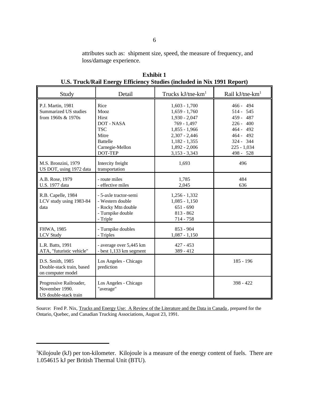attributes such as: shipment size, speed, the measure of frequency, and loss/damage experience.

| Study                                                              | Detail                                                                                                                           | Trucks $kJ$ /tne- $km1$                                                                                                                                             | Rail $kJ$ /tne-km <sup>1</sup>                                                                                          |
|--------------------------------------------------------------------|----------------------------------------------------------------------------------------------------------------------------------|---------------------------------------------------------------------------------------------------------------------------------------------------------------------|-------------------------------------------------------------------------------------------------------------------------|
| P.J. Martin, 1981<br>Summarized US studies<br>from 1960s & 1970s   | Rice<br>Mooz<br><b>Hirst</b><br><b>DOT - NASA</b><br><b>TSC</b><br>Mitre<br><b>Battelle</b><br>Carnegie-Mellon<br><b>DOT-TEP</b> | $1,603 - 1,700$<br>$1,659 - 1,760$<br>$1,930 - 2,047$<br>769 - 1,497<br>$1,855 - 1,966$<br>$2,307 - 2,446$<br>$1,182 - 1,355$<br>$1,892 - 2,006$<br>$3,153 - 3,343$ | 466 - 494<br>514 - 545<br>459 - 487<br>$226 - 400$<br>464 - 492<br>464 - 492<br>324 - 344<br>$225 - 1,034$<br>498 - 528 |
| M.S. Bronzini, 1979<br>US DOT, using 1972 data                     | Intercity freight<br>transportation                                                                                              | 1,693                                                                                                                                                               | 496                                                                                                                     |
| A.B. Rose, 1979<br>U.S. 1977 data                                  | - route miles<br>- effective miles                                                                                               | 1,785<br>2,045                                                                                                                                                      | 484<br>636                                                                                                              |
| R.B. Capelle, 1984<br>LCV study using 1983-84<br>data              | - 5-axle tractor-semi<br>- Western double<br>- Rocky Mtn double<br>- Turnpike double<br>- Triple                                 | $1,256 - 1,332$<br>$1,085 - 1,150$<br>$651 - 690$<br>$813 - 862$<br>714 - 758                                                                                       |                                                                                                                         |
| FHWA, 1985<br><b>LCV</b> Study                                     | - Turnpike doubles<br>- Triples                                                                                                  | $853 - 904$<br>$1,087 - 1,150$                                                                                                                                      |                                                                                                                         |
| L.R. Batts, 1991<br>ATA, "futuristic vehicle"                      | - average over 5,445 km<br>- best 1,133 km segment                                                                               | $427 - 453$<br>389 - 412                                                                                                                                            |                                                                                                                         |
| D.S. Smith, 1985<br>Double-stack train, based<br>on computer model | Los Angeles - Chicago<br>prediction                                                                                              |                                                                                                                                                                     | 185 - 196                                                                                                               |
| Progressive Railroader,<br>November 1990.<br>US double-stack train | Los Angeles - Chicago<br>"average"                                                                                               |                                                                                                                                                                     | $398 - 422$                                                                                                             |

**Exhibit 1 U.S. Truck/Rail Energy Efficiency Studies (included in Nix 1991 Report)**

Source: Fred P. Nix, Trucks and Energy Use: A Review of the Literature and the Data in Canada, prepared for the Ontario, Quebec, and Canadian Trucking Associations, August 23, 1991.

<sup>&</sup>lt;sup>1</sup>Kilojoule (kJ) per ton-kilometer. Kilojoule is a measure of the energy content of fuels. There are 1.054615 kJ per British Thermal Unit (BTU).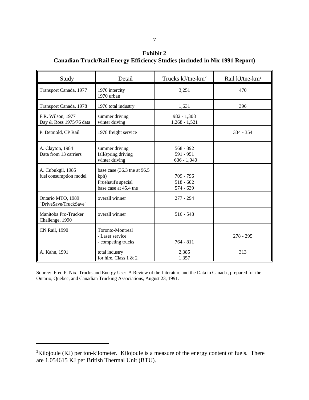**Exhibit 2 Canadian Truck/Rail Energy Efficiency Studies (included in Nix 1991 Report)**

| Study                                        | Detail                                                                              | Trucks $kJ$ /tne- $km2$                   | Rail kJ/tne-km <sup>1</sup> |
|----------------------------------------------|-------------------------------------------------------------------------------------|-------------------------------------------|-----------------------------|
| Transport Canada, 1977                       | 1970 intercity<br>1970 urban                                                        | 3,251                                     | 470                         |
| Transport Canada, 1978                       | 1976 total industry                                                                 | 1,631                                     | 396                         |
| F.R. Wilson, 1977<br>Day & Ross 1975/76 data | summer driving<br>winter driving                                                    | $982 - 1,308$<br>$1,268 - 1,521$          |                             |
| P. Detmold, CP Rail                          | 1978 freight service                                                                |                                           | $334 - 354$                 |
| A. Clayton, 1984<br>Data from 13 carriers    | summer driving<br>fall/spring driving<br>winter driving                             | $568 - 892$<br>591 - 951<br>$636 - 1,040$ |                             |
| A. Cubukgil, 1985<br>fuel consumption model  | base case (36.3 tne at 96.5)<br>kph)<br>Fruehauf's special<br>base case at 45.4 tne | 709 - 796<br>$518 - 602$<br>574 - 639     |                             |
| Ontario MTO, 1989<br>"DriveSave/TruckSave"   | overall winner                                                                      | $277 - 294$                               |                             |
| Manitoba Pro-Trucker<br>Challenge, 1990      | overall winner                                                                      | $516 - 548$                               |                             |
| CN Rail, 1990                                | Toronto-Montreal<br>- Laser service<br>- competing trucks                           | $764 - 811$                               | $278 - 295$                 |
| A. Kahn, 1991                                | total industry<br>for hire, Class $1 & 2$                                           | 2,385<br>1,357                            | 313                         |

Source: Fred P. Nix, Trucks and Energy Use: A Review of the Literature and the Data in Canada, prepared for the Ontario, Quebec, and Canadian Trucking Associations, August 23, 1991.

 ${}^{2}$ Kilojoule (KJ) per ton-kilometer. Kilojoule is a measure of the energy content of fuels. There are 1.054615 KJ per British Thermal Unit (BTU).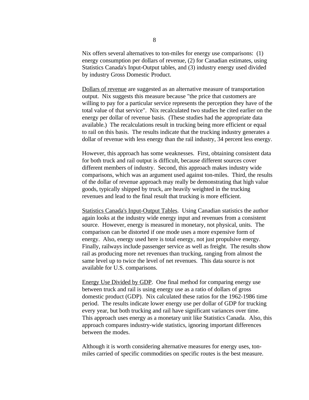Nix offers several alternatives to ton-miles for energy use comparisons: (1) energy consumption per dollars of revenue, (2) for Canadian estimates, using Statistics Canada's Input-Output tables, and (3) industry energy used divided by industry Gross Domestic Product.

Dollars of revenue are suggested as an alternative measure of transportation output. Nix suggests this measure because "the price that customers are willing to pay for a particular service represents the perception they have of the total value of that service". Nix recalculated two studies he cited earlier on the energy per dollar of revenue basis. (These studies had the appropriate data available.) The recalculations result in trucking being more efficient or equal to rail on this basis. The results indicate that the trucking industry generates a dollar of revenue with less energy than the rail industry, 34 percent less energy.

However, this approach has some weaknesses. First, obtaining consistent data for both truck and rail output is difficult, because different sources cover different members of industry. Second, this approach makes industry wide comparisons, which was an argument used against ton-miles. Third, the results of the dollar of revenue approach may really be demonstrating that high value goods, typically shipped by truck, are heavily weighted in the trucking revenues and lead to the final result that trucking is more efficient.

Statistics Canada's Input-Output Tables. Using Canadian statistics the author again looks at the industry wide energy input and revenues from a consistent source. However, energy is measured in monetary, not physical, units. The comparison can be distorted if one mode uses a more expensive form of energy. Also, energy used here is total energy, not just propulsive energy. Finally, railways include passenger service as well as freight. The results show rail as producing more net revenues than trucking, ranging from almost the same level up to twice the level of net revenues. This data source is not available for U.S. comparisons.

Energy Use Divided by GDP. One final method for comparing energy use between truck and rail is using energy use as a ratio of dollars of gross domestic product (GDP). Nix calculated these ratios for the 1962-1986 time period. The results indicate lower energy use per dollar of GDP for trucking every year, but both trucking and rail have significant variances over time. This approach uses energy as a monetary unit like Statistics Canada. Also, this approach compares industry-wide statistics, ignoring important differences between the modes.

Although it is worth considering alternative measures for energy uses, tonmiles carried of specific commodities on specific routes is the best measure.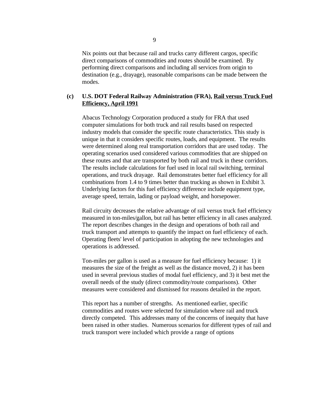Nix points out that because rail and trucks carry different cargos, specific direct comparisons of commodities and routes should be examined. By performing direct comparisons and including all services from origin to destination (e.g., drayage), reasonable comparisons can be made between the modes.

## **(c) U.S. DOT Federal Railway Administration (FRA), Rail versus Truck Fuel Efficiency, April 1991**

Abacus Technology Corporation produced a study for FRA that used computer simulations for both truck and rail results based on respected industry models that consider the specific route characteristics. This study is unique in that it considers specific routes, loads, and equipment. The results were determined along real transportation corridors that are used today. The operating scenarios used considered various commodities that are shipped on these routes and that are transported by both rail and truck in these corridors. The results include calculations for fuel used in local rail switching, terminal operations, and truck drayage. Rail demonstrates better fuel efficiency for all combinations from 1.4 to 9 times better than trucking as shown in Exhibit 3. Underlying factors for this fuel efficiency difference include equipment type, average speed, terrain, lading or payload weight, and horsepower.

Rail circuity decreases the relative advantage of rail versus truck fuel efficiency measured in ton-miles/gallon, but rail has better efficiency in all cases analyzed. The report describes changes in the design and operations of both rail and truck transport and attempts to quantify the impact on fuel efficiency of each. Operating fleets' level of participation in adopting the new technologies and operations is addressed.

Ton-miles per gallon is used as a measure for fuel efficiency because: 1) it measures the size of the freight as well as the distance moved, 2) it has been used in several previous studies of modal fuel efficiency, and 3) it best met the overall needs of the study (direct commodity/route comparisons). Other measures were considered and dismissed for reasons detailed in the report.

This report has a number of strengths. As mentioned earlier, specific commodities and routes were selected for simulation where rail and truck directly competed. This addresses many of the concerns of inequity that have been raised in other studies. Numerous scenarios for different types of rail and truck transport were included which provide a range of options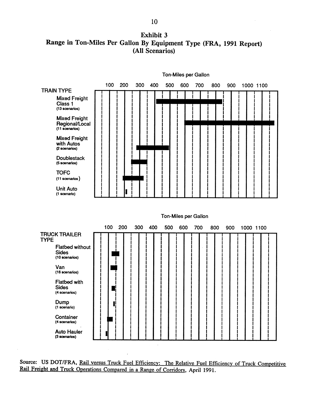**Exhibit 3** Range in Ton-Miles Per Gallon By Equipment Type (FRA, 1991 Report) (All Scenarios)



Source: US DOT/FRA, Rail versus Truck Fuel Efficiency: The Relative Fuel Efficiency of Truck Competitive Rail Freight and Truck Operations Compared in a Range of Corridors, April 1991.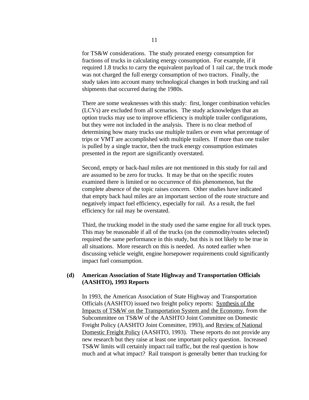for TS&W considerations. The study prorated energy consumption for fractions of trucks in calculating energy consumption. For example, if it required 1.8 trucks to carry the equivalent payload of 1 rail car, the truck mode was not charged the full energy consumption of two tractors. Finally, the study takes into account many technological changes in both trucking and rail shipments that occurred during the 1980s.

There are some weaknesses with this study: first, longer combination vehicles (LCVs) are excluded from all scenarios. The study acknowledges that an option trucks may use to improve efficiency is multiple trailer configurations, but they were not included in the analysis. There is no clear method of determining how many trucks use multiple trailers or even what percentage of trips or VMT are accomplished with multiple trailers. If more than one trailer is pulled by a single tractor, then the truck energy consumption estimates presented in the report are significantly overstated.

Second, empty or back-haul miles are not mentioned in this study for rail and are assumed to be zero for trucks. It may be that on the specific routes examined there is limited or no occurrence of this phenomenon, but the complete absence of the topic raises concern. Other studies have indicated that empty back haul miles are an important section of the route structure and negatively impact fuel efficiency, especially for rail. As a result, the fuel efficiency for rail may be overstated.

Third, the trucking model in the study used the same engine for all truck types. This may be reasonable if all of the trucks (on the commodity/routes selected) required the same performance in this study, but this is not likely to be true in all situations. More research on this is needed. As noted earlier when discussing vehicle weight, engine horsepower requirements could significantly impact fuel consumption.

## **(d) American Association of State Highway and Transportation Officials (AASHTO), 1993 Reports**

In 1993, the American Association of State Highway and Transportation Officials (AASHTO) issued two freight policy reports: Synthesis of the Impacts of TS&W on the Transportation System and the Economy, from the Subcommittee on TS&W of the AASHTO Joint Committee on Domestic Freight Policy (AASHTO Joint Committee, 1993), and Review of National Domestic Freight Policy (AASHTO, 1993). These reports do not provide any new research but they raise at least one important policy question. Increased TS&W limits will certainly impact rail traffic, but the real question is how much and at what impact? Rail transport is generally better than trucking for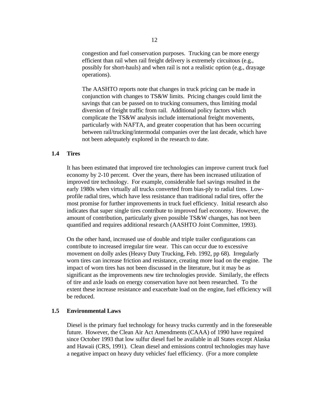congestion and fuel conservation purposes. Trucking can be more energy efficient than rail when rail freight delivery is extremely circuitous (e.g., possibly for short-hauls) and when rail is not a realistic option (e.g., drayage operations).

The AASHTO reports note that changes in truck pricing can be made in conjunction with changes to TS&W limits. Pricing changes could limit the savings that can be passed on to trucking consumers, thus limiting modal diversion of freight traffic from rail. Additional policy factors which complicate the TS&W analysis include international freight movements, particularly with NAFTA, and greater cooperation that has been occurring between rail/trucking/intermodal companies over the last decade, which have not been adequately explored in the research to date.

#### **1.4 Tires**

It has been estimated that improved tire technologies can improve current truck fuel economy by 2-10 percent. Over the years, there has been increased utilization of improved tire technology. For example, considerable fuel savings resulted in the early 1980s when virtually all trucks converted from bias-ply to radial tires. Lowprofile radial tires, which have less resistance than traditional radial tires, offer the most promise for further improvements in truck fuel efficiency. Initial research also indicates that super single tires contribute to improved fuel economy. However, the amount of contribution, particularly given possible TS&W changes, has not been quantified and requires additional research (AASHTO Joint Committee, 1993).

On the other hand, increased use of double and triple trailer configurations can contribute to increased irregular tire wear. This can occur due to excessive movement on dolly axles (Heavy Duty Trucking, Feb. 1992, pp 68). Irregularly worn tires can increase friction and resistance, creating more load on the engine. The impact of worn tires has not been discussed in the literature, but it may be as significant as the improvements new tire technologies provide. Similarly, the effects of tire and axle loads on energy conservation have not been researched. To the extent these increase resistance and exacerbate load on the engine, fuel efficiency will be reduced.

#### **1.5 Environmental Laws**

Diesel is the primary fuel technology for heavy trucks currently and in the foreseeable future. However, the Clean Air Act Amendments (CAAA) of 1990 have required since October 1993 that low sulfur diesel fuel be available in all States except Alaska and Hawaii (CRS, 1991). Clean diesel and emissions control technologies may have a negative impact on heavy duty vehicles' fuel efficiency. (For a more complete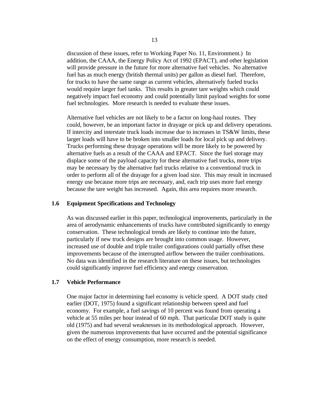discussion of these issues, refer to Working Paper No. 11, Environment.) In addition, the CAAA, the Energy Policy Act of 1992 (EPACT), and other legislation will provide pressure in the future for more alternative fuel vehicles. No alternative fuel has as much energy (british thermal units) per gallon as diesel fuel. Therefore, for trucks to have the same range as current vehicles, alternatively fueled trucks would require larger fuel tanks. This results in greater tare weights which could negatively impact fuel economy and could potentially limit payload weights for some fuel technologies. More research is needed to evaluate these issues.

Alternative fuel vehicles are not likely to be a factor on long-haul routes. They could, however, be an important factor in drayage or pick up and delivery operations. If intercity and interstate truck loads increase due to increases in TS&W limits, these larger loads will have to be broken into smaller loads for local pick up and delivery. Trucks performing these drayage operations will be more likely to be powered by alternative fuels as a result of the CAAA and EPACT. Since the fuel storage may displace some of the payload capacity for these alternative fuel trucks, more trips may be necessary by the alternative fuel trucks relative to a conventional truck in order to perform all of the drayage for a given load size. This may result in increased energy use because more trips are necessary, and, each trip uses more fuel energy because the tare weight has increased. Again, this area requires more research.

#### **1.6 Equipment Specifications and Technology**

As was discussed earlier in this paper, technological improvements, particularly in the area of aerodynamic enhancements of trucks have contributed significantly to energy conservation. These technological trends are likely to continue into the future, particularly if new truck designs are brought into common usage. However, increased use of double and triple trailer configurations could partially offset these improvements because of the interrupted airflow between the trailer combinations. No data was identified in the research literature on these issues, but technologies could significantly improve fuel efficiency and energy conservation.

#### **1.7 Vehicle Performance**

One major factor in determining fuel economy is vehicle speed. A DOT study cited earlier (DOT, 1975) found a significant relationship between speed and fuel economy. For example, a fuel savings of 10 percent was found from operating a vehicle at 55 miles per hour instead of 60 mph. That particular DOT study is quite old (1975) and had several weaknesses in its methodological approach. However, given the numerous improvements that have occurred and the potential significance on the effect of energy consumption, more research is needed.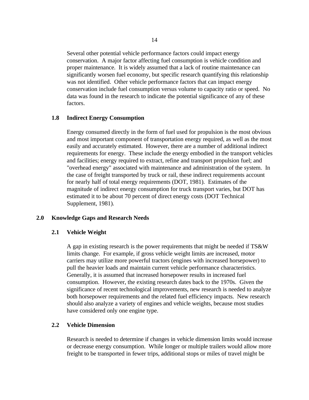Several other potential vehicle performance factors could impact energy conservation. A major factor affecting fuel consumption is vehicle condition and proper maintenance. It is widely assumed that a lack of routine maintenance can significantly worsen fuel economy, but specific research quantifying this relationship was not identified. Other vehicle performance factors that can impact energy conservation include fuel consumption versus volume to capacity ratio or speed. No data was found in the research to indicate the potential significance of any of these factors.

#### **1.8 Indirect Energy Consumption**

Energy consumed directly in the form of fuel used for propulsion is the most obvious and most important component of transportation energy required, as well as the most easily and accurately estimated. However, there are a number of additional indirect requirements for energy. These include the energy embodied in the transport vehicles and facilities; energy required to extract, refine and transport propulsion fuel; and "overhead energy" associated with maintenance and administration of the system. In the case of freight transported by truck or rail, these indirect requirements account for nearly half of total energy requirements (DOT, 1981). Estimates of the magnitude of indirect energy consumption for truck transport varies, but DOT has estimated it to be about 70 percent of direct energy costs (DOT Technical Supplement, 1981).

#### **2.0 Knowledge Gaps and Research Needs**

#### **2.1 Vehicle Weight**

A gap in existing research is the power requirements that might be needed if TS&W limits change. For example, if gross vehicle weight limits are increased, motor carriers may utilize more powerful tractors (engines with increased horsepower) to pull the heavier loads and maintain current vehicle performance characteristics. Generally, it is assumed that increased horsepower results in increased fuel consumption. However, the existing research dates back to the 1970s. Given the significance of recent technological improvements, new research is needed to analyze both horsepower requirements and the related fuel efficiency impacts. New research should also analyze a variety of engines and vehicle weights, because most studies have considered only one engine type.

#### **2.2 Vehicle Dimension**

Research is needed to determine if changes in vehicle dimension limits would increase or decrease energy consumption. While longer or multiple trailers would allow more freight to be transported in fewer trips, additional stops or miles of travel might be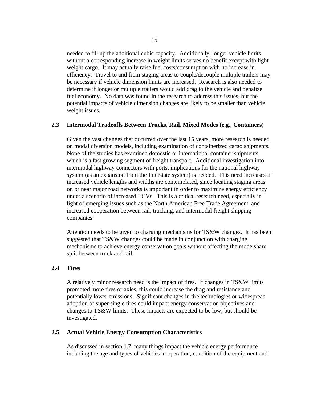needed to fill up the additional cubic capacity. Additionally, longer vehicle limits without a corresponding increase in weight limits serves no benefit except with lightweight cargo. It may actually raise fuel costs/consumption with no increase in efficiency. Travel to and from staging areas to couple/decouple multiple trailers may be necessary if vehicle dimension limits are increased. Research is also needed to determine if longer or multiple trailers would add drag to the vehicle and penalize fuel economy. No data was found in the research to address this issues, but the potential impacts of vehicle dimension changes are likely to be smaller than vehicle weight issues.

## **2.3 Intermodal Tradeoffs Between Trucks, Rail, Mixed Modes (e.g., Containers)**

Given the vast changes that occurred over the last 15 years, more research is needed on modal diversion models, including examination of containerized cargo shipments. None of the studies has examined domestic or international container shipments, which is a fast growing segment of freight transport. Additional investigation into intermodal highway connectors with ports, implications for the national highway system (as an expansion from the Interstate system) is needed. This need increases if increased vehicle lengths and widths are contemplated, since locating staging areas on or near major road networks is important in order to maximize energy efficiency under a scenario of increased LCVs. This is a critical research need, especially in light of emerging issues such as the North American Free Trade Agreement, and increased cooperation between rail, trucking, and intermodal freight shipping companies.

Attention needs to be given to charging mechanisms for TS&W changes. It has been suggested that TS&W changes could be made in conjunction with charging mechanisms to achieve energy conservation goals without affecting the mode share split between truck and rail.

#### **2.4 Tires**

A relatively minor research need is the impact of tires. If changes in TS&W limits promoted more tires or axles, this could increase the drag and resistance and potentially lower emissions. Significant changes in tire technologies or widespread adoption of super single tires could impact energy conservation objectives and changes to TS&W limits. These impacts are expected to be low, but should be investigated.

## **2.5 Actual Vehicle Energy Consumption Characteristics**

As discussed in section 1.7, many things impact the vehicle energy performance including the age and types of vehicles in operation, condition of the equipment and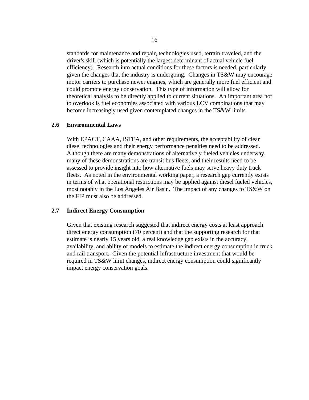standards for maintenance and repair, technologies used, terrain traveled, and the driver's skill (which is potentially the largest determinant of actual vehicle fuel efficiency). Research into actual conditions for these factors is needed, particularly given the changes that the industry is undergoing. Changes in TS&W may encourage motor carriers to purchase newer engines, which are generally more fuel efficient and could promote energy conservation. This type of information will allow for theoretical analysis to be directly applied to current situations. An important area not to overlook is fuel economies associated with various LCV combinations that may become increasingly used given contemplated changes in the TS&W limits.

#### **2.6 Environmental Laws**

With EPACT, CAAA, ISTEA, and other requirements, the acceptability of clean diesel technologies and their energy performance penalties need to be addressed. Although there are many demonstrations of alternatively fueled vehicles underway, many of these demonstrations are transit bus fleets, and their results need to be assessed to provide insight into how alternative fuels may serve heavy duty truck fleets. As noted in the environmental working paper, a research gap currently exists in terms of what operational restrictions may be applied against diesel fueled vehicles, most notably in the Los Angeles Air Basin. The impact of any changes to TS&W on the FIP must also be addressed.

#### **2.7 Indirect Energy Consumption**

Given that existing research suggested that indirect energy costs at least approach direct energy consumption (70 percent) and that the supporting research for that estimate is nearly 15 years old, a real knowledge gap exists in the accuracy, availability, and ability of models to estimate the indirect energy consumption in truck and rail transport. Given the potential infrastructure investment that would be required in TS&W limit changes, indirect energy consumption could significantly impact energy conservation goals.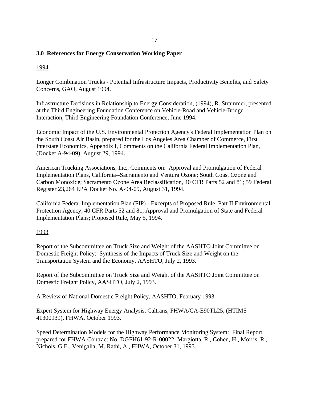## **3.0 References for Energy Conservation Working Paper**

# 1994

Longer Combination Trucks - Potential Infrastructure Impacts, Productivity Benefits, and Safety Concerns, GAO, August 1994.

Infrastructure Decisions in Relationship to Energy Consideration, (1994), R. Strammer, presented at the Third Engineering Foundation Conference on Vehicle-Road and Vehicle-Bridge Interaction, Third Engineering Foundation Conference, June 1994.

Economic Impact of the U.S. Environmental Protection Agency's Federal Implementation Plan on the South Coast Air Basin, prepared for the Los Angeles Area Chamber of Commerce, First Interstate Economics, Appendix I, Comments on the California Federal Implementation Plan, (Docket A-94-09), August 29, 1994.

American Trucking Associations, Inc., Comments on: Approval and Promulgation of Federal Implementation Plans, California--Sacramento and Ventura Ozone; South Coast Ozone and Carbon Monoxide; Sacramento Ozone Area Reclassification, 40 CFR Parts 52 and 81; 59 Federal Register 23,264 EPA Docket No. A-94-09, August 31, 1994.

California Federal Implementation Plan (FIP) - Excerpts of Proposed Rule, Part II Environmental Protection Agency, 40 CFR Parts 52 and 81, Approval and Promulgation of State and Federal Implementation Plans; Proposed Rule, May 5, 1994.

## 1993

Report of the Subcommittee on Truck Size and Weight of the AASHTO Joint Committee on Domestic Freight Policy: Synthesis of the Impacts of Truck Size and Weight on the Transportation System and the Economy, AASHTO, July 2, 1993.

Report of the Subcommittee on Truck Size and Weight of the AASHTO Joint Committee on Domestic Freight Policy, AASHTO, July 2, 1993.

A Review of National Domestic Freight Policy, AASHTO, February 1993.

Expert System for Highway Energy Analysis, Caltrans, FHWA/CA-E90TL25, (HTIMS 41300939), FHWA, October 1993.

Speed Determination Models for the Highway Performance Monitoring System: Final Report, prepared for FHWA Contract No. DGFH61-92-R-00022, Margiotta, R., Cohen, H., Morris, R., Nichols, G.E., Venigalla, M. Rathi, A., FHWA, October 31, 1993.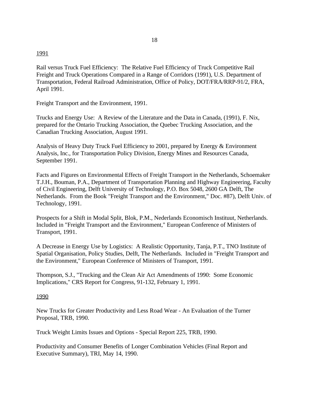#### 1991

Rail versus Truck Fuel Efficiency: The Relative Fuel Efficiency of Truck Competitive Rail Freight and Truck Operations Compared in a Range of Corridors (1991), U.S. Department of Transportation, Federal Railroad Administration, Office of Policy, DOT/FRA/RRP-91/2, FRA, April 1991.

Freight Transport and the Environment, 1991.

Trucks and Energy Use: A Review of the Literature and the Data in Canada, (1991), F. Nix, prepared for the Ontario Trucking Association, the Quebec Trucking Association, and the Canadian Trucking Association, August 1991.

Analysis of Heavy Duty Truck Fuel Efficiency to 2001, prepared by Energy & Environment Analysis, Inc., for Transportation Policy Division, Energy Mines and Resources Canada, September 1991.

Facts and Figures on Environmental Effects of Freight Transport in the Netherlands, Schoemaker T.J.H., Bouman, P.A., Department of Transportation Planning and Highway Engineering, Faculty of Civil Engineering, Delft University of Technology, P.O. Box 5048, 2600 GA Delft, The Netherlands. From the Book "Freight Transport and the Environment," Doc. #87), Delft Univ. of Technology, 1991.

Prospects for a Shift in Modal Split, Blok, P.M., Nederlands Economisch Instituut, Netherlands. Included in "Freight Transport and the Environment," European Conference of Ministers of Transport, 1991.

A Decrease in Energy Use by Logistics: A Realistic Opportunity, Tanja, P.T., TNO Institute of Spatial Organisation, Policy Studies, Delft, The Netherlands. Included in "Freight Transport and the Environment," European Conference of Ministers of Transport, 1991.

Thompson, S.J., "Trucking and the Clean Air Act Amendments of 1990: Some Economic Implications," CRS Report for Congress, 91-132, February 1, 1991.

#### 1990

New Trucks for Greater Productivity and Less Road Wear - An Evaluation of the Turner Proposal, TRB, 1990.

Truck Weight Limits Issues and Options - Special Report 225, TRB, 1990.

Productivity and Consumer Benefits of Longer Combination Vehicles (Final Report and Executive Summary), TRI, May 14, 1990.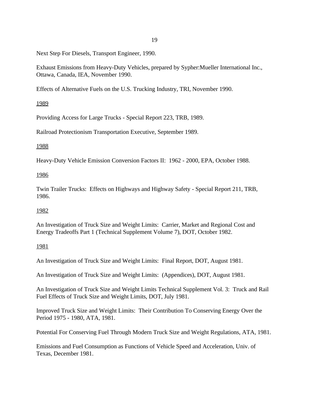Next Step For Diesels, Transport Engineer, 1990.

Exhaust Emissions from Heavy-Duty Vehicles, prepared by Sypher:Mueller International Inc., Ottawa, Canada, IEA, November 1990.

Effects of Alternative Fuels on the U.S. Trucking Industry, TRI, November 1990.

# 1989

Providing Access for Large Trucks - Special Report 223, TRB, 1989.

Railroad Protectionism Transportation Executive, September 1989.

# 1988

Heavy-Duty Vehicle Emission Conversion Factors II: 1962 - 2000, EPA, October 1988.

# 1986

Twin Trailer Trucks: Effects on Highways and Highway Safety - Special Report 211, TRB, 1986.

# 1982

An Investigation of Truck Size and Weight Limits: Carrier, Market and Regional Cost and Energy Tradeoffs Part 1 (Technical Supplement Volume 7), DOT, October 1982.

# 1981

An Investigation of Truck Size and Weight Limits: Final Report, DOT, August 1981.

An Investigation of Truck Size and Weight Limits: (Appendices), DOT, August 1981.

An Investigation of Truck Size and Weight Limits Technical Supplement Vol. 3: Truck and Rail Fuel Effects of Truck Size and Weight Limits, DOT, July 1981.

Improved Truck Size and Weight Limits: Their Contribution To Conserving Energy Over the Period 1975 - 1980, ATA, 1981.

Potential For Conserving Fuel Through Modern Truck Size and Weight Regulations, ATA, 1981.

Emissions and Fuel Consumption as Functions of Vehicle Speed and Acceleration, Univ. of Texas, December 1981.